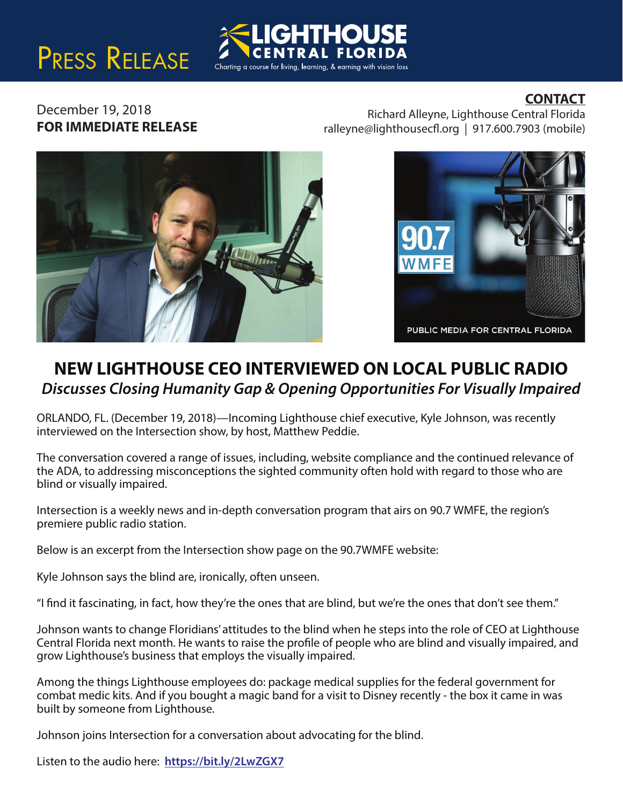# PRESS RELEASE



### **CONTACT**

December 19, 2018 **FOR IMMEDIATE RELEASE**

Richard Alleyne, Lighthouse Central Florida  $ralleyne@lighthousecfl.org | 917.600.7903 (mobile)$ 





## **NEW LIGHTHOUSE CEO INTERVIEWED ON LOCAL PUBLIC RADIO** *Discusses Closing Humanity Gap & Opening Opportunities For Visually Impaired*

ORLANDO, FL. (December 19, 2018)—Incoming Lighthouse chief executive, Kyle Johnson, was recently interviewed on the Intersection show, by host, Matthew Peddie.

The conversation covered a range of issues, including, website compliance and the continued relevance of the ADA, to addressing misconceptions the sighted community often hold with regard to those who are blind or visually impaired.

Intersection is a weekly news and in-depth conversation program that airs on 90.7 WMFE, the region's premiere public radio station.

Below is an excerpt from the Intersection show page on the 90.7WMFE website:

Kyle Johnson says the blind are, ironically, often unseen.

"I find it fascinating, in fact, how they're the ones that are blind, but we're the ones that don't see them."

Johnson wants to change Floridians' attitudes to the blind when he steps into the role of CEO at Lighthouse Central Florida next month. He wants to raise the profile of people who are blind and visually impaired, and grow Lighthouse's business that employs the visually impaired.

Among the things Lighthouse employees do: package medical supplies for the federal government for combat medic kits. And if you bought a magic band for a visit to Disney recently - the box it came in was built by someone from Lighthouse.

Johnson joins Intersection for a conversation about advocating for the blind.

Listen to the audio here: **https://bit.ly/2LwZGX7**